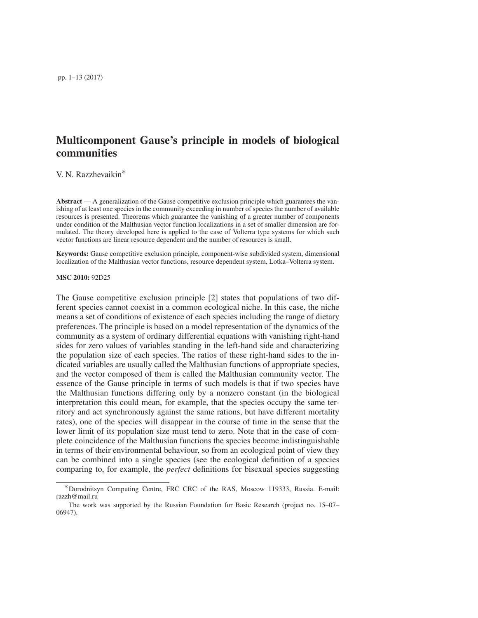# Multicomponent Gause's principle in models of biological communities

V. N. Razzhevaikin∗

Abstract — A generalization of the Gause competitive exclusion principle which guarantees the vanishing of at least one species in the community exceeding in number of species the number of available resources is presented. Theorems which guarantee the vanishing of a greater number of components under condition of the Malthusian vector function localizations in a set of smaller dimension are formulated. The theory developed here is applied to the case of Volterra type systems for which such vector functions are linear resource dependent and the number of resources is small.

Keywords: Gause competitive exclusion principle, component-wise subdivided system, dimensional localization of the Malthusian vector functions, resource dependent system, Lotka–Volterra system.

MSC 2010: 92D25

The Gause competitive exclusion principle [2] states that populations of two different species cannot coexist in a common ecological niche. In this case, the niche means a set of conditions of existence of each species including the range of dietary preferences. The principle is based on a model representation of the dynamics of the community as a system of ordinary differential equations with vanishing right-hand sides for zero values of variables standing in the left-hand side and characterizing the population size of each species. The ratios of these right-hand sides to the indicated variables are usually called the Malthusian functions of appropriate species, and the vector composed of them is called the Malthusian community vector. The essence of the Gause principle in terms of such models is that if two species have the Malthusian functions differing only by a nonzero constant (in the biological interpretation this could mean, for example, that the species occupy the same territory and act synchronously against the same rations, but have different mortality rates), one of the species will disappear in the course of time in the sense that the lower limit of its population size must tend to zero. Note that in the case of complete coincidence of the Malthusian functions the species become indistinguishable in terms of their environmental behaviour, so from an ecological point of view they can be combined into a single species (see the ecological definition of a species comparing to, for example, the *perfect* definitions for bisexual species suggesting

<sup>∗</sup>Dorodnitsyn Computing Centre, FRC CRC of the RAS, Moscow 119333, Russia. E-mail: razzh@mail.ru

The work was supported by the Russian Foundation for Basic Research (project no. 15–07– 06947).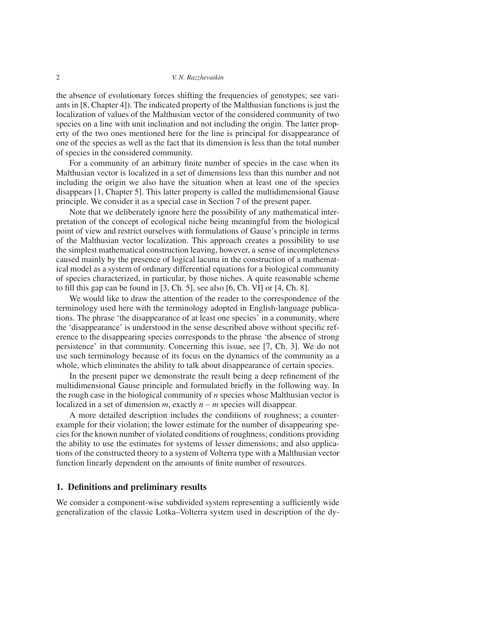the absence of evolutionary forces shifting the frequencies of genotypes; see variants in [8, Chapter 4]). The indicated property of the Malthusian functions is just the localization of values of the Malthusian vector of the considered community of two species on a line with unit inclination and not including the origin. The latter property of the two ones mentioned here for the line is principal for disappearance of one of the species as well as the fact that its dimension is less than the total number of species in the considered community.

For a community of an arbitrary finite number of species in the case when its Malthusian vector is localized in a set of dimensions less than this number and not including the origin we also have the situation when at least one of the species disappears [1, Chapter 5]. This latter property is called the multidimensional Gause principle. We consider it as a special case in Section 7 of the present paper.

Note that we deliberately ignore here the possibility of any mathematical interpretation of the concept of ecological niche being meaningful from the biological point of view and restrict ourselves with formulations of Gause's principle in terms of the Malthusian vector localization. This approach creates a possibility to use the simplest mathematical construction leaving, however, a sense of incompleteness caused mainly by the presence of logical lacuna in the construction of a mathematical model as a system of ordinary differential equations for a biological community of species characterized, in particular, by those niches. A quite reasonable scheme to fill this gap can be found in [3, Ch. 5], see also [6, Ch. VI] or [4, Ch. 8].

We would like to draw the attention of the reader to the correspondence of the terminology used here with the terminology adopted in English-language publications. The phrase 'the disappearance of at least one species' in a community, where the 'disappearance' is understood in the sense described above without specific reference to the disappearing species corresponds to the phrase 'the absence of strong persistence' in that community. Concerning this issue, see [7, Ch. 3]. We do not use such terminology because of its focus on the dynamics of the community as a whole, which eliminates the ability to talk about disappearance of certain species.

In the present paper we demonstrate the result being a deep refinement of the multidimensional Gause principle and formulated briefly in the following way. In the rough case in the biological community of *n* species whose Malthusian vector is localized in a set of dimension *m*, exactly *n*−*m* species will disappear.

A more detailed description includes the conditions of roughness; a counterexample for their violation; the lower estimate for the number of disappearing species for the known number of violated conditions of roughness; conditions providing the ability to use the estimates for systems of lesser dimensions; and also applications of the constructed theory to a system of Volterra type with a Malthusian vector function linearly dependent on the amounts of finite number of resources.

# 1. Definitions and preliminary results

We consider a component-wise subdivided system representing a sufficiently wide generalization of the classic Lotka–Volterra system used in description of the dy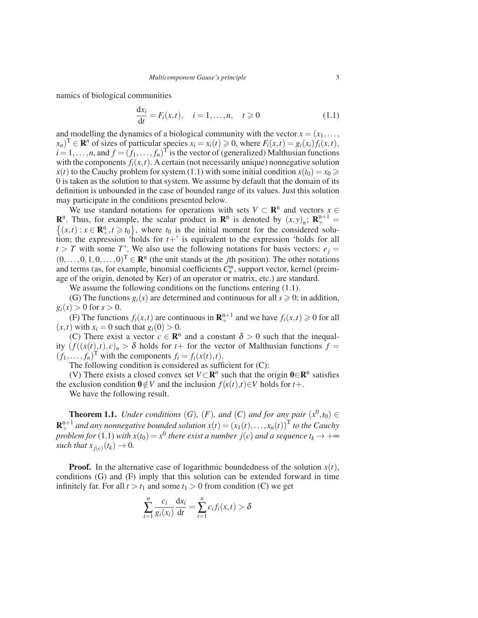namics of biological communities

$$
\frac{dx_i}{dt} = F_i(x, t), \quad i = 1, \dots, n, \quad t \geq 0
$$
\n(1.1)

and modelling the dynamics of a biological community with the vector  $x = (x_1, \ldots, x_n)$  $(x_n)^T \in \mathbb{R}^n$  of sizes of particular species  $x_i = x_i(t) \ge 0$ , where  $F_i(x,t) = g_i(x_i)f_i(x,t)$ ,  $i = 1, \ldots, n$ , and  $f = (f_1, \ldots, f_n)^T$  is the vector of (generalized) Malthusian functions with the components  $f_i(x,t)$ . A certain (not necessarily unique) nonnegative solution *x*(*t*) to the Cauchy problem for system (1.1) with some initial condition  $x(t_0) = x_0 \geq$ 0 is taken as the solution to that system. We assume by default that the domain of its definition is unbounded in the case of bounded range of its values. Just this solution may participate in the conditions presented below.

We use standard notations for operations with sets  $V \subset \mathbb{R}^n$  and vectors  $x \in$  $\mathbb{R}^n$ . Thus, for example, the scalar product in  $\mathbb{R}^n$  is denoted by  $(x, y)_n$ ;  $\mathbb{R}^{n+1}_+$  $\mathbf{R}^n$ . Thus, for example, the scalar product in  $\mathbf{R}^n$  is denoted by  $(x, y)_n$ ;  $\mathbf{R}^{n+1}_+ = \{(x,t) : x \in \mathbf{R}^n_+, t \ge t_0\}$ , where  $t_0$  is the initial moment for the considered solution; the expression 'holds for  $t+$ ' is equivalent to the expression 'holds for all  $t > T$  with some *T*'. We also use the following notations for basis vectors:  $e_j =$  $(0,\ldots,0,1,0,\ldots,0)^T \in \mathbb{R}^n$  (the unit stands at the *j*th position). The other notations and terms (as, for example, binomial coefficients  $C_n^m$ , support vector, kernel (preimage of the origin, denoted by Ker) of an operator or matrix, etc.) are standard.

We assume the following conditions on the functions entering  $(1.1)$ .

(G) The functions  $g_i(s)$  are determined and continuous for all  $s \geq 0$ ; in addition,  $g_i(s) > 0$  for  $s > 0$ .

(F) The functions  $f_i(x,t)$  are continuous in  $\mathbb{R}^{n+1}_+$  and we have  $f_i(x,t) \geq 0$  for all  $(x,t)$  with  $x_i = 0$  such that  $g_i(0) > 0$ .

(C) There exist a vector  $c \in \mathbb{R}^n$  and a constant  $\delta > 0$  such that the inequality  $(f((x(t), t), c)_n > \delta$  holds for  $t +$  for the vector of Malthusian functions  $f =$  $(f_1, \ldots, f_n)$ <sup>T</sup> with the components  $f_i = f_i(x(t), t)$ .

The following condition is considered as sufficient for (C):

(V) There exists a closed convex set  $V \subset \mathbb{R}^n$  such that the origin  $0 \in \mathbb{R}^n$  satisfies the exclusion condition  $0 \notin V$  and the inclusion  $f(x(t), t) \in V$  holds for  $t +$ .

We have the following result.

**Theorem 1.1.** *Under conditions*  $(G)$ *,*  $(F)$ *, and*  $(C)$  *and for any pair*  $(x^0, t_0) \in$  $\mathbf{R}^{n+1}_+$  and any nonnegative bounded solution  $x(t) = (x_1(t), \ldots, x_n(t))^T$  to the Cauchy *problem for* (1.1) *with x*( $t_0$ ) =  $x^0$  *there exist a number j*(*c*) *and a sequence t<sub>k</sub>*  $\rightarrow +\infty$ such that  $x_{j(c)}(t_k) \to 0$ .

**Proof.** In the alternative case of logarithmic boundedness of the solution  $x(t)$ , conditions (G) and (F) imply that this solution can be extended forward in time infinitely far. For all  $t > t_1$  and some  $t_1 > 0$  from condition (C) we get

$$
\sum_{i=1}^{n} \frac{c_i}{g_i(x_i)} \frac{\mathrm{d}x_i}{\mathrm{d}t} = \sum_{i=1}^{n} c_i f_i(x, t) > \delta
$$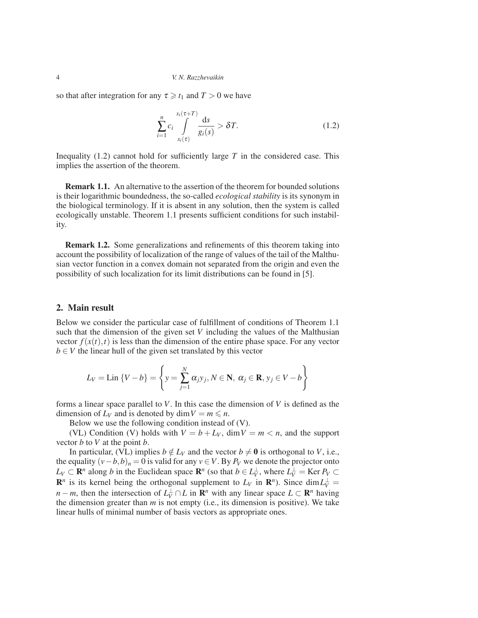so that after integration for any  $\tau \geq t_1$  and  $T > 0$  we have

$$
\sum_{i=1}^{n} c_i \int_{x_i(\tau)}^{x_i(\tau+T)} \frac{\mathrm{d}s}{g_i(s)} > \delta T. \tag{1.2}
$$

Inequality (1.2) cannot hold for sufficiently large *T* in the considered case. This implies the assertion of the theorem.

Remark 1.1. An alternative to the assertion of the theorem for bounded solutions is their logarithmic boundedness, the so-called *ecological stability* is its synonym in the biological terminology. If it is absent in any solution, then the system is called ecologically unstable. Theorem 1.1 presents sufficient conditions for such instability.

Remark 1.2. Some generalizations and refinements of this theorem taking into account the possibility of localization of the range of values of the tail of the Malthusian vector function in a convex domain not separated from the origin and even the possibility of such localization for its limit distributions can be found in [5].

# 2. Main result

Below we consider the particular case of fulfillment of conditions of Theorem 1.1 such that the dimension of the given set  $V$  including the values of the Malthusian vector  $f(x(t),t)$  is less than the dimension of the entire phase space. For any vector  $b \in V$  the linear hull of the given set translated by this vector

$$
L_V = \text{Lin}\left\{V - b\right\} = \left\{y = \sum_{j=1}^N \alpha_j y_j, N \in \mathbf{N}, \ \alpha_j \in \mathbf{R}, y_j \in V - b\right\}
$$

forms a linear space parallel to *V*. In this case the dimension of *V* is defined as the dimension of  $L_V$  and is denoted by dim  $V = m \le n$ .

Below we use the following condition instead of (V).

(VL) Condition (V) holds with  $V = b + L_V$ , dim  $V = m < n$ , and the support vector *b* to *V* at the point *b*.

In particular, (VL) implies  $b \notin L_V$  and the vector  $b \neq 0$  is orthogonal to *V*, i.e., the equality  $(v - b, b)_n = 0$  is valid for any  $v \in V$ . By  $P_V$  we denote the projector onto  $L_V \subset \mathbf{R}^n$  along *b* in the Euclidean space  $\mathbf{R}^n$  (so that  $b \in L_V^{\perp}$ , where  $L_V^{\perp} = \text{Ker } P_V \subset$ **R**<sup>*n*</sup> is its kernel being the orthogonal supplement to  $L_V$  in **R**<sup>*n*</sup>). Since dim $L_V^{\perp}$  = *n* − *m*, then the intersection of  $L_V^{\perp} \cap L$  in  $\mathbb{R}^n$  with any linear space  $L \subset \mathbb{R}^n$  having the dimension greater than *m* is not empty (i.e., its dimension is positive). We take linear hulls of minimal number of basis vectors as appropriate ones.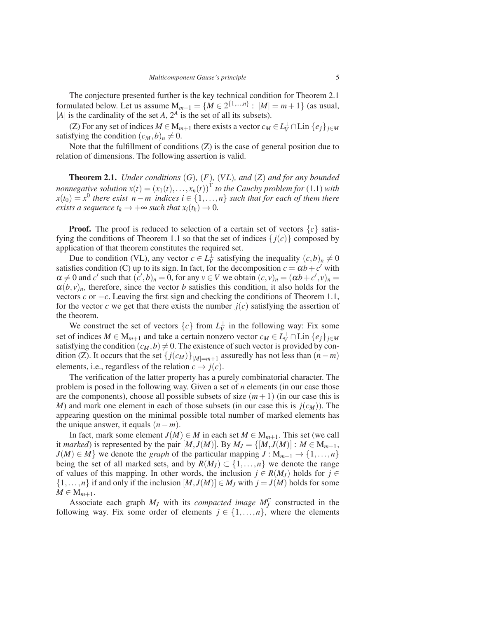The conjecture presented further is the key technical condition for Theorem 2.1 formulated below. Let us assume  $M_{m+1} = \{ M \in 2^{\{1, ..., n\}} : |M| = m + 1 \}$  (as usual, |*A*| is the cardinality of the set *A*,  $2^A$  is the set of all its subsets).

(Z) For any set of indices  $M \in M_{m+1}$  there exists a vector  $c_M \in L_V^{\perp} \cap \text{Lin } \{e_j\}_{j \in M}$ satisfying the condition  $(c_M, b)_n \neq 0$ .

Note that the fulfillment of conditions (Z) is the case of general position due to relation of dimensions. The following assertion is valid.

Theorem 2.1. *Under conditions* (*G*)*,* (*F*)*,* (*V L*)*, and* (*Z*) *and for any bounded nonnegative solution*  $x(t) = (x_1(t),...,x_n(t))^T$  *to the Cauchy problem for* (1.1) *with*  $x(t_0) = x^0$  there exist  $n - m$  indices  $i \in \{1, ..., n\}$  such that for each of them there *exists a sequence*  $t_k \to +\infty$  *such that*  $x_i(t_k) \to 0$ .

**Proof.** The proof is reduced to selection of a certain set of vectors  $\{c\}$  satisfying the conditions of Theorem 1.1 so that the set of indices  $\{j(c)\}$  composed by application of that theorem constitutes the required set.

Due to condition (VL), any vector  $c \in L_V^{\perp}$  satisfying the inequality  $(c, b)_n \neq 0$ satisfies condition (C) up to its sign. In fact, for the decomposition  $c = \alpha b + c'$  with  $\alpha \neq 0$  and *c*' such that  $(c', b)_n = 0$ , for any  $v \in V$  we obtain  $(c, v)_n = (\alpha b + c', v)_n =$  $\alpha(b, v)_n$ , therefore, since the vector *b* satisfies this condition, it also holds for the vectors *c* or −*c*. Leaving the first sign and checking the conditions of Theorem 1.1, for the vector *c* we get that there exists the number  $j(c)$  satisfying the assertion of the theorem.

We construct the set of vectors  $\{c\}$  from  $L_V^{\perp}$  in the following way: Fix some set of indices  $M \in M_{m+1}$  and take a certain nonzero vector  $c_M \in L_V^{\perp} \cap \text{Lin } \{e_j\}_{j \in M}$ satisfying the condition  $(c_M, b) \neq 0$ . The existence of such vector is provided by condition (Z). It occurs that the set  $\{j(c_M)\}_{|M|=m+1}$  assuredly has not less than  $(n-m)$ elements, i.e., regardless of the relation  $c \rightarrow j(c)$ .

The verification of the latter property has a purely combinatorial character. The problem is posed in the following way. Given a set of *n* elements (in our case those are the components), choose all possible subsets of size  $(m+1)$  (in our case this is *M*) and mark one element in each of those subsets (in our case this is  $j(c_M)$ ). The appearing question on the minimal possible total number of marked elements has the unique answer, it equals  $(n - m)$ .

In fact, mark some element  $J(M) \in M$  in each set  $M \in M_{m+1}$ . This set (we call it *marked*) is represented by the pair  $[M, J(M)]$ . By  $M_J = \{[M, J(M)] : M \in M_{m+1},\}$  $J(M) \in M$  we denote the *graph* of the particular mapping  $J : M_{m+1} \to \{1, \ldots, n\}$ being the set of all marked sets, and by  $R(M_J) \subset \{1, \ldots, n\}$  we denote the range of values of this mapping. In other words, the inclusion  $j \in R(M_J)$  holds for  $j \in$  $\{1,\ldots,n\}$  if and only if the inclusion  $[M,J(M)] \in M_J$  with  $j = J(M)$  holds for some  $M \in M_{m+1}$ .

Associate each graph  $M_J$  with its *compacted image*  $M_J^C$  constructed in the following way. Fix some order of elements  $j \in \{1, \ldots, n\}$ , where the elements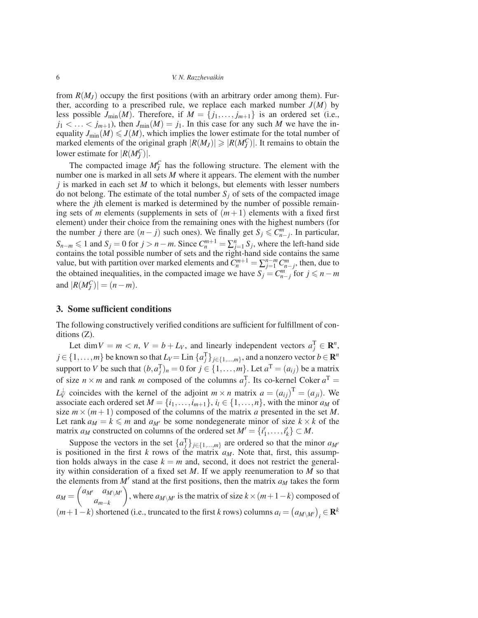from  $R(M_I)$  occupy the first positions (with an arbitrary order among them). Further, according to a prescribed rule, we replace each marked number  $J(M)$  by less possible  $J_{\text{min}}(M)$ . Therefore, if  $M = \{j_1, \ldots, j_{m+1}\}$  is an ordered set (i.e.,  $j_1 < \ldots < j_{m+1}$ ), then  $J_{\min}(M) = j_1$ . In this case for any such M we have the inequality  $J_{\text{min}}(M) \leq J(M)$ , which implies the lower estimate for the total number of marked elements of the original graph  $|R(M_J)| \geq |R(M_J^C)|$ . It remains to obtain the lower estimate for  $|R(M_J^C)|$ .

The compacted image  $M_f^C$  has the following structure. The element with the number one is marked in all sets *M* where it appears. The element with the number *j* is marked in each set *M* to which it belongs, but elements with lesser numbers do not belong. The estimate of the total number  $S_i$  of sets of the compacted image where the *j*th element is marked is determined by the number of possible remaining sets of *m* elements (supplements in sets of  $(m+1)$  elements with a fixed first element) under their choice from the remaining ones with the highest numbers (for the number *j* there are  $(n - j)$  such ones). We finally get  $S_j \leq C_{n-j}^m$ . In particular, *S*<sup>*n*−*m*</sub> ≤ 1 and *S*<sup>*j*</sup> = 0 for *j* > *n*−*m*. Since  $C_n^{m+1} = \sum_{j=1}^n S_j$ , where the left-hand side</sup> contains the total possible number of sets and the right-hand side contains the same value, but with partition over marked elements and  $\bar{C}_n^{m+1} = \sum_{j=1}^{n-m} C_{n-j}^m$ , then, due to the obtained inequalities, in the compacted image we have  $S_j = C_{n-j}^m$  for  $j \leq n-m$ and  $|R(M_J^C)| = (n - m)$ .

# 3. Some sufficient conditions

The following constructively verified conditions are sufficient for fulfillment of conditions (Z).

Let dim  $V = m < n$ ,  $V = b + L_V$ , and linearly independent vectors  $a_j^T \in \mathbb{R}^n$ ,  $j \in \{1, \ldots, m\}$  be known so that  $L_V = \text{Lin} \{a_j^T\}_{j \in \{1, \ldots, m\}}$ , and a nonzero vector  $b \in \mathbb{R}^n$ support to *V* be such that  $(b, a_j^T)_n = 0$  for  $j \in \{1, ..., m\}$ . Let  $a^T = (a_{ij})$  be a matrix of size  $n \times m$  and rank *m* composed of the columns  $a_j^T$ . Its co-kernel Coker  $a^T$  =  $L_V^{\perp}$  coincides with the kernel of the adjoint  $m \times n$  matrix  $a = (a_{ij})^{\mathrm{T}} = (a_{ji})$ . We associate each ordered set  $M = \{i_1, \ldots, i_{m+1}\}, i_l \in \{1, \ldots, n\}$ , with the minor  $a_M$  of size  $m \times (m+1)$  composed of the columns of the matrix *a* presented in the set *M*. Let rank  $a_M = k \leq m$  and  $a_{M'}$  be some nondegenerate minor of size  $k \times k$  of the matrix *a<sub>M</sub>* constructed on columns of the ordered set  $M' = \{i'_1, \ldots, i'_k\} \subset M$ .

Suppose the vectors in the set  $\{a_j^T\}_{j \in \{1,\dots,m\}}$  are ordered so that the minor  $a_{M'}$ is positioned in the first *k* rows of the matrix  $a_M$ . Note that, first, this assumption holds always in the case  $k = m$  and, second, it does not restrict the generality within consideration of a fixed set *M*. If we apply reenumeration to *M* so that the elements from  $M'$  stand at the first positions, then the matrix  $a_M$  takes the form  $a_M = \begin{pmatrix} a_{M'} & a_{M \setminus M'} \ a_M & a_M \end{pmatrix}$ *am*−*<sup>k</sup>* ), where  $a_{M\setminus M'}$  is the matrix of size  $k\times(m+1-k)$  composed of  $(m+1-k)$  shortened (i.e., truncated to the first *k* rows) columns  $a_i = (a_{M\setminus M'})$ <sub>*i*</sub> ∈ **R**<sup>*k*</sup>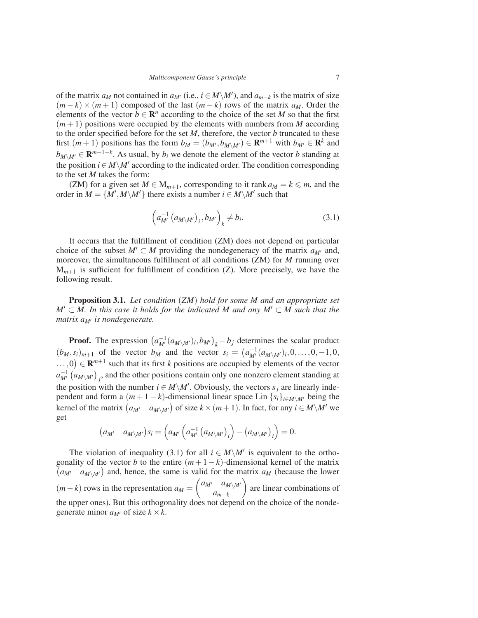of the matrix  $a_M$  not contained in  $a_{M'}$  (i.e.,  $i \in M \setminus M'$ ), and  $a_{m-k}$  is the matrix of size  $(m-k) \times (m+1)$  composed of the last  $(m-k)$  rows of the matrix  $a_M$ . Order the elements of the vector  $\bar{b} \in \mathbb{R}^n$  according to the choice of the set *M* so that the first  $(m+1)$  positions were occupied by the elements with numbers from *M* according to the order specified before for the set *M*, therefore, the vector *b* truncated to these first  $(m+1)$  positions has the form  $b_M = (b_{M'}, b_{M \setminus M'}) \in \mathbb{R}^{m+1}$  with  $b_{M'} \in \mathbb{R}^k$  and  $b_{M \setminus M'} \in \mathbf{R}^{m+1-k}$ . As usual, by  $b_i$  we denote the element of the vector *b* standing at the position  $i \in M \backslash M'$  according to the indicated order. The condition corresponding to the set *M* takes the form:

(ZM) for a given set  $M \in M_{m+1}$ , corresponding to it rank  $a_M = k \le m$ , and the order in  $M = \{M', M\setminus M'\}$  there exists a number  $i \in M\setminus M'$  such that

$$
\left(a_{M'}^{-1}\left(a_{M\setminus M'}\right)_i, b_{M'}\right)_k \neq b_i. \tag{3.1}
$$

It occurs that the fulfillment of condition (ZM) does not depend on particular choice of the subset  $M' \subset M$  providing the nondegeneracy of the matrix  $a_{M'}$  and, moreover, the simultaneous fulfillment of all conditions (ZM) for *M* running over  $M_{m+1}$  is sufficient for fulfillment of condition (Z). More precisely, we have the following result.

Proposition 3.1. *Let condition* (*ZM*) *hold for some M and an appropriate set*  $M' \subset M$ . In this case it holds for the indicated M and any  $M' \subset M$  such that the *matrix*  $a_M$  *is nondegenerate.* 

**Proof.** The expression  $(a_{M'}^{-1}(a_{M\setminus M'})_i, b_{M'})_k - b_j$  determines the scalar product  $(b_M, s_i)_{m+1}$  of the vector  $b_M$  and the vector  $s_i = (a_M^{-1}(a_{M\setminus M'})_i, 0, \ldots, 0, -1, 0,$  $\dots$ , 0)  $\in \mathbb{R}^{m+1}$  such that its first *k* positions are occupied by elements of the vector  $a_{M'}^{-1}$   $(a_{M\setminus M'})$ <sub>*j*</sub>, and the other positions contain only one nonzero element standing at the position with the number  $i \in M \backslash M'$ . Obviously, the vectors  $s_j$  are linearly independent and form a  $(m+1-k)$ -dimensional linear space Lin  $\{s_i\}_{i \in M \setminus M}$  being the kernel of the matrix  $(a_{M'} \quad a_{M \setminus M'})$  of size  $k \times (m+1)$ . In fact, for any  $i \in M \setminus M'$  we get

$$
(a_{M'} \quad a_{M\setminus M'})s_i = \left(a_{M'}\left(a_{M'}^{-1}\left(a_{M\setminus M'}\right)_i\right) - \left(a_{M\setminus M'}\right)_i\right) = 0.
$$

The violation of inequality (3.1) for all  $i \in M \backslash M'$  is equivalent to the orthogonality of the vector *b* to the entire  $(m+1-k)$ -dimensional kernel of the matrix  $(a_{M'} \quad a_{M \setminus M'} )$  and, hence, the same is valid for the matrix  $a_M$  (because the lower  $(m-k)$  rows in the representation  $a_M = \begin{pmatrix} a_{M'} & a_{M \setminus M'} \\ a_{M'} & a_{M'} \end{pmatrix}$ *am*−*<sup>k</sup>* are linear combinations of the upper ones). But this orthogonality does not depend on the choice of the nondegenerate minor  $a_{M'}$  of size  $k \times k$ .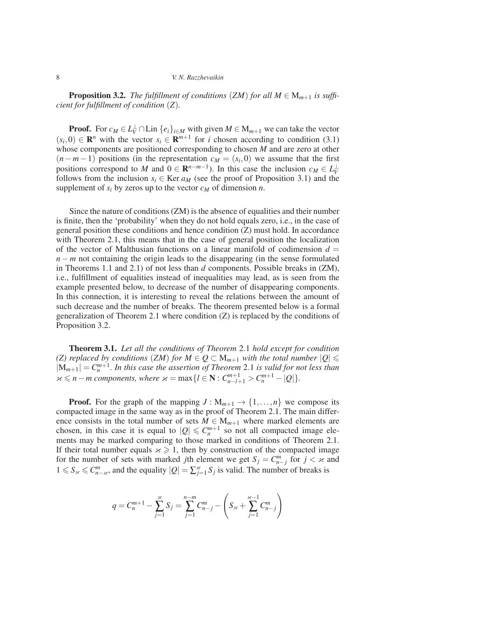**Proposition 3.2.** *The fulfillment of conditions*  $(ZM)$  *for all*  $M \in M_{m+1}$  *is sufficient for fulfillment of condition* (*Z*)*.*

**Proof.** For  $c_M \in L_V^{\perp} \cap \text{Lin } \{e_i\}_{i \in M}$  with given  $M \in M_{m+1}$  we can take the vector  $(s_i, 0) \in \mathbb{R}^n$  with the vector  $s_i \in \mathbb{R}^{m+1}$  for *i* chosen according to condition (3.1) whose components are positioned corresponding to chosen *M* and are zero at other  $(n-m-1)$  positions (in the representation  $c_M = (s_i, 0)$  we assume that the first positions correspond to *M* and  $0 \in \mathbb{R}^{n-m-1}$ ). In this case the inclusion  $c_M \in L_V^{\perp}$ follows from the inclusion  $s_i \in \text{Ker } a_M$  (see the proof of Proposition 3.1) and the supplement of  $s_i$  by zeros up to the vector  $c_M$  of dimension *n*.

Since the nature of conditions (ZM) is the absence of equalities and their number is finite, then the 'probability' when they do not hold equals zero, i.e., in the case of general position these conditions and hence condition  $(Z)$  must hold. In accordance with Theorem 2.1, this means that in the case of general position the localization of the vector of Malthusian functions on a linear manifold of codimension  $d =$ *n* − *m* not containing the origin leads to the disappearing (in the sense formulated in Theorems 1.1 and 2.1) of not less than *d* components. Possible breaks in (ZM), i.e., fulfillment of equalities instead of inequalities may lead, as is seen from the example presented below, to decrease of the number of disappearing components. In this connection, it is interesting to reveal the relations between the amount of such decrease and the number of breaks. The theorem presented below is a formal generalization of Theorem 2.1 where condition  $(Z)$  is replaced by the conditions of Proposition 3.2.

Theorem 3.1. *Let all the conditions of Theorem* 2.1 *hold except for condition (Z) replaced by conditions*  $(ZM)$  *for*  $M \in \mathcal{Q} \subset M_{m+1}$  *with the total number*  $|Q| \leq$  $|M_{m+1}| = C_n^{m+1}$ . In this case the assertion of Theorem 2.1 is valid for not less than  $\varkappa \le n - m$  components, where  $\varkappa = \max\{l \in \mathbb{N} : C_{n-l+1}^{m+1} > C_n^{m+1} - |Q|\}.$ 

**Proof.** For the graph of the mapping  $J : M_{m+1} \to \{1, ..., n\}$  we compose its compacted image in the same way as in the proof of Theorem 2.1. The main difference consists in the total number of sets  $M \in M_{m+1}$  where marked elements are chosen, in this case it is equal to  $|Q| \leq C_n^{m+1}$  so not all compacted image elements may be marked comparing to those marked in conditions of Theorem 2.1. If their total number equals  $x \ge 1$ , then by construction of the compacted image for the number of sets with marked *j*th element we get  $S_j = C_{n-j}^m$  for  $j < \infty$  and  $1 \leq S_{\varkappa} \leq C_{n-\varkappa}^m$ , and the equality  $|Q| = \sum_{j=1}^{\infty}$  $\chi^2_{j=1} S_j$  is valid. The number of breaks is

$$
q = C_n^{m+1} - \sum_{j=1}^{\infty} S_j = \sum_{j=1}^{n-m} C_{n-j}^m - \left( S_{\varkappa} + \sum_{j=1}^{\varkappa - 1} C_{n-j}^m \right)
$$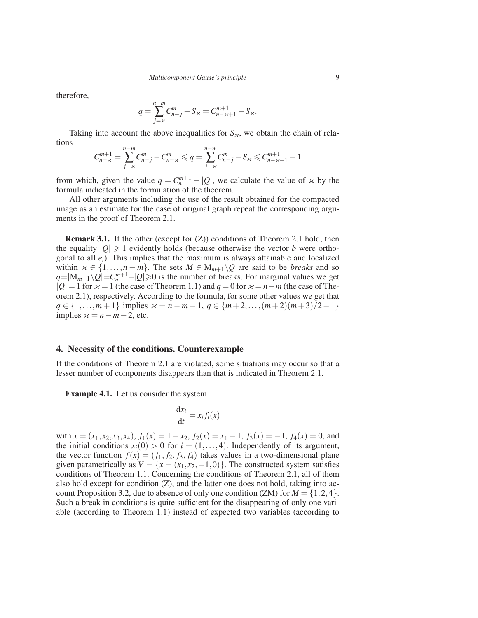therefore,

$$
q = \sum_{j=\infty}^{n-m} C_{n-j}^m - S_{\varkappa} = C_{n-\varkappa+1}^{m+1} - S_{\varkappa}.
$$

Taking into account the above inequalities for  $S_{\varkappa}$ , we obtain the chain of relations

$$
C_{n-\varkappa}^{m+1} = \sum_{j=\varkappa}^{n-m} C_{n-j}^m - C_{n-\varkappa}^m \leqslant q = \sum_{j=\varkappa}^{n-m} C_{n-j}^m - S_{\varkappa} \leqslant C_{n-\varkappa+1}^{m+1} - 1
$$

from which, given the value  $q = C_n^{m+1} - |Q|$ , we calculate the value of  $\varkappa$  by the formula indicated in the formulation of the theorem.

All other arguments including the use of the result obtained for the compacted image as an estimate for the case of original graph repeat the corresponding arguments in the proof of Theorem 2.1.

**Remark 3.1.** If the other (except for  $(Z)$ ) conditions of Theorem 2.1 hold, then the equality  $|Q| \geq 1$  evidently holds (because otherwise the vector *b* were orthogonal to all  $e_i$ ). This implies that the maximum is always attainable and localized within  $x \in \{1, \ldots, n-m\}$ . The sets  $M \in M_{m+1}\backslash Q$  are said to be *breaks* and so  $q = |M_{m+1} \setminus Q| = C_m^{m+1} - |Q| \ge 0$  is the number of breaks. For marginal values we get  $|Q| = 1$  for  $\varkappa = 1$  (the case of Theorem 1.1) and  $q = 0$  for  $\varkappa = n - m$  (the case of Theorem 2.1), respectively. According to the formula, for some other values we get that  $q \in \{1, \ldots, m+1\}$  implies  $x = n - m - 1$ ,  $q \in \{m+2, \ldots, (m+2)(m+3)/2 - 1\}$ implies  $x = n - m - 2$ , etc.

# 4. Necessity of the conditions. Counterexample

If the conditions of Theorem 2.1 are violated, some situations may occur so that a lesser number of components disappears than that is indicated in Theorem 2.1.

Example 4.1. Let us consider the system

$$
\frac{\mathrm{d}x_i}{\mathrm{d}t} = x_i f_i(x)
$$

with  $x = (x_1, x_2, x_3, x_4)$ ,  $f_1(x) = 1 - x_2$ ,  $f_2(x) = x_1 - 1$ ,  $f_3(x) = -1$ ,  $f_4(x) = 0$ , and the initial conditions  $x_i(0) > 0$  for  $i = (1, \ldots, 4)$ . Independently of its argument, the vector function  $f(x) = (f_1, f_2, f_3, f_4)$  takes values in a two-dimensional plane given parametrically as  $V = \{x = (x_1, x_2, -1, 0)\}\.$  The constructed system satisfies conditions of Theorem 1.1. Concerning the conditions of Theorem 2.1, all of them also hold except for condition  $(Z)$ , and the latter one does not hold, taking into account Proposition 3.2, due to absence of only one condition (ZM) for  $M = \{1, 2, 4\}$ . Such a break in conditions is quite sufficient for the disappearing of only one variable (according to Theorem 1.1) instead of expected two variables (according to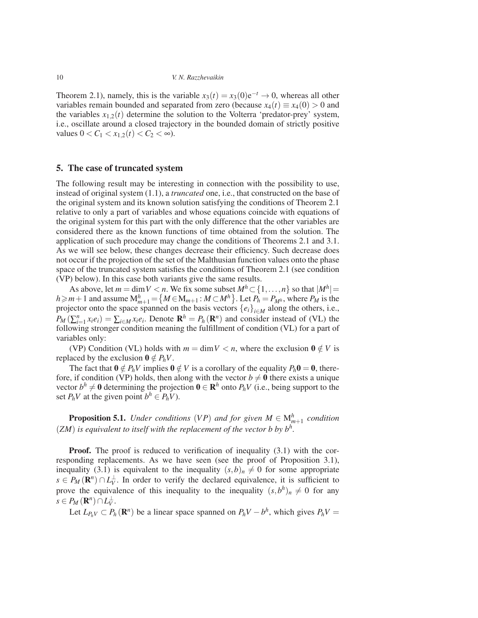Theorem 2.1), namely, this is the variable  $x_3(t) = x_3(0)e^{-t} \to 0$ , whereas all other variables remain bounded and separated from zero (because  $x_4(t) \equiv x_4(0) > 0$  and the variables  $x_{1,2}(t)$  determine the solution to the Volterra 'predator-prey' system, i.e., oscillate around a closed trajectory in the bounded domain of strictly positive values  $0 < C_1 < x_{1,2}(t) < C_2 < \infty$ ).

# 5. The case of truncated system

The following result may be interesting in connection with the possibility to use, instead of original system (1.1), a *truncated* one, i.e., that constructed on the base of the original system and its known solution satisfying the conditions of Theorem 2.1 relative to only a part of variables and whose equations coincide with equations of the original system for this part with the only difference that the other variables are considered there as the known functions of time obtained from the solution. The application of such procedure may change the conditions of Theorems 2.1 and 3.1. As we will see below, these changes decrease their efficiency. Such decrease does not occur if the projection of the set of the Malthusian function values onto the phase space of the truncated system satisfies the conditions of Theorem 2.1 (see condition (VP) below). In this case both variants give the same results.

As above, let  $m = \dim V < n$ . We fix some subset  $M^h \subset \{1, \ldots, n\}$  so that  $|M^h| =$ *h* ≥ *m* + 1 and assume  $M_{m+1}^h$  = { $M \in M_{m+1}$  :  $M \subset M^h$ }. Let  $P_h = P_{M^h}$ , where  $P_M$  is the projector onto the space spanned on the basis vectors  $\{e_i\}_{i \in M}$  along the others, i.e.,  $P_M(\sum_{i=1}^n x_i e_i) = \sum_{i \in M} x_i e_i$ . Denote  $\mathbf{R}^h = P_h(\mathbf{R}^n)$  and consider instead of (VL) the following stronger condition meaning the fulfillment of condition (VL) for a part of variables only:

(VP) Condition (VL) holds with  $m = \dim V < n$ , where the exclusion  $0 \notin V$  is replaced by the exclusion  $\mathbf{0} \notin P_h V$ .

The fact that  $0 \notin P_h V$  implies  $0 \notin V$  is a corollary of the equality  $P_h 0 = 0$ , therefore, if condition (VP) holds, then along with the vector  $b \neq 0$  there exists a unique vector  $b^h \neq 0$  determining the projection  $0 \in \mathbb{R}^h$  onto  $P_h V$  (i.e., being support to the set  $P_h V$  at the given point  $b^h \in P_h V$ ).

**Proposition 5.1.** *Under conditions*  $(VP)$  *and for given*  $M \in M_{m+1}^h$  *condition*  $(ZM)$  *is equivalent to itself with the replacement of the vector b by*  $b^h$ *.* 

**Proof.** The proof is reduced to verification of inequality (3.1) with the corresponding replacements. As we have seen (see the proof of Proposition 3.1), inequality (3.1) is equivalent to the inequality  $(s,b)_n \neq 0$  for some appropriate  $s \in P_M(\mathbf{R}^n) \cap L_V^{\perp}$ . In order to verify the declared equivalence, it is sufficient to prove the equivalence of this inequality to the inequality  $(s, b^h)_n \neq 0$  for any  $s \in P_M(\mathbf{R}^n) \cap L_V^{\perp}.$ 

Let  $L_{P_h}V \subset P_h(\mathbf{R}^n)$  be a linear space spanned on  $P_hV - b^h$ , which gives  $P_hV =$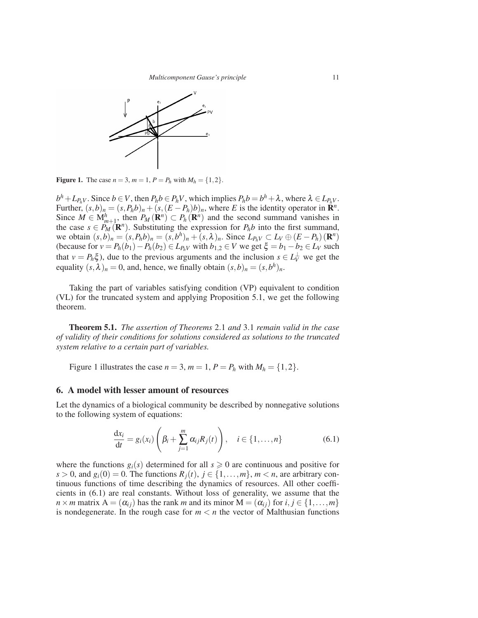

**Figure 1.** The case  $n = 3$ ,  $m = 1$ ,  $P = P_h$  with  $M_h = \{1, 2\}$ .

 $b^h + L_{P_hV}$ . Since  $b \in V$ , then  $P_hb \in P_hV$ , which implies  $P_hb = b^h + \lambda$ , where  $\lambda \in L_{P_hV}$ . Further,  $(s, b)_n = (s, P_h b)_n + (s, (E - P_h)b)_n$ , where *E* is the identity operator in  $\mathbb{R}^n$ . Since  $M \in M_{m+1}^h$ , then  $P_M(\mathbf{R}^n) \subset P_h(\mathbf{R}^n)$  and the second summand vanishes in the case  $s \in P_M^{n+1}(\mathbb{R}^n)$ . Substituting the expression for  $P_h b$  into the first summand, we obtain  $(s,b)_n = (s, P_h b)_n = (s, b^h)_n + (s, \lambda)_n$ . Since  $L_{P_h} v \subset L_V \oplus (E - P_h)(\mathbf{R}^n)$ (because for  $v = P_h(b_1) - P_h(b_2) \in L_{P_h}$ *v* with  $b_{1,2} \in V$  we get  $\xi = b_1 - b_2 \in L_V$  such that  $v = P_h \xi$ ), due to the previous arguments and the inclusion  $s \in L_V^{\perp}$  we get the equality  $(s, \lambda)_n = 0$ , and, hence, we finally obtain  $(s, b)_n = (s, b^h)_n$ .

Taking the part of variables satisfying condition (VP) equivalent to condition (VL) for the truncated system and applying Proposition 5.1, we get the following theorem.

Theorem 5.1. *The assertion of Theorems* 2.1 *and* 3.1 *remain valid in the case of validity of their conditions for solutions considered as solutions to the truncated system relative to a certain part of variables.*

Figure 1 illustrates the case  $n = 3$ ,  $m = 1$ ,  $P = P_h$  with  $M_h = \{1, 2\}$ .

# 6. A model with lesser amount of resources

Let the dynamics of a biological community be described by nonnegative solutions to the following system of equations:

$$
\frac{\mathrm{d}x_i}{\mathrm{d}t} = g_i(x_i) \left( \beta_i + \sum_{j=1}^m \alpha_{ij} R_j(t) \right), \quad i \in \{1, \dots, n\}
$$
\n(6.1)

where the functions  $g_i(s)$  determined for all  $s \geq 0$  are continuous and positive for *s* > 0, and  $g_i$ (0) = 0. The functions  $R_j$ (*t*), *j* ∈ {1,...,*m*}, *m* < *n*, are arbitrary continuous functions of time describing the dynamics of resources. All other coefficients in (6.1) are real constants. Without loss of generality, we assume that the  $n \times m$  matrix  $A = (\alpha_{ij})$  has the rank *m* and its minor  $M = (\alpha_{ij})$  for  $i, j \in \{1, \ldots, m\}$ is nondegenerate. In the rough case for  $m < n$  the vector of Malthusian functions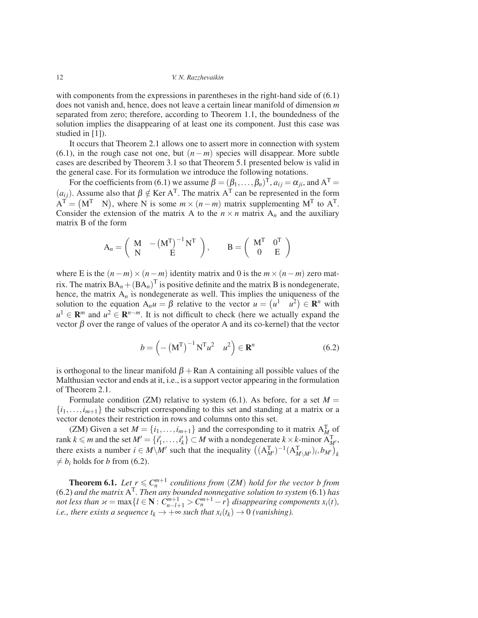with components from the expressions in parentheses in the right-hand side of (6.1) does not vanish and, hence, does not leave a certain linear manifold of dimension *m* separated from zero; therefore, according to Theorem 1.1, the boundedness of the solution implies the disappearing of at least one its component. Just this case was studied in [1]).

It occurs that Theorem 2.1 allows one to assert more in connection with system (6.1), in the rough case not one, but  $(n-m)$  species will disappear. More subtle cases are described by Theorem 3.1 so that Theorem 5.1 presented below is valid in the general case. For its formulation we introduce the following notations.

For the coefficients from (6.1) we assume  $\beta = (\beta_1, \dots, \beta_n)^T$ ,  $a_{ij} = \alpha_{ji}$ , and  $A^T =$  $(a_{ij})$ . Assume also that  $\beta \notin \text{Ker } A^T$ . The matrix  $A^T$  can be represented in the form  $A<sup>T</sup> = (M<sup>T</sup> N)$ , where N is some  $m \times (n-m)$  matrix supplementing  $M<sup>T</sup>$  to  $A<sup>T</sup>$ . Consider the extension of the matrix A to the  $n \times n$  matrix  $A_n$  and the auxiliary matrix B of the form

$$
A_n = \left(\begin{array}{cc} M & -(M^T)^{-1}N^T \\ N & E \end{array}\right), \qquad B = \left(\begin{array}{cc} M^T & 0^T \\ 0 & E \end{array}\right)
$$

where E is the  $(n-m) \times (n-m)$  identity matrix and 0 is the  $m \times (n-m)$  zero matrix. The matrix  $BA_n + (BA_n)^T$  is positive definite and the matrix B is nondegenerate, hence, the matrix  $A_n$  is nondegenerate as well. This implies the uniqueness of the solution to the equation  $A_n u = \beta$  relative to the vector  $u = (u^1 \quad u^2) \in \mathbb{R}^n$  with  $u^1 \in \mathbb{R}^m$  and  $u^2 \in \mathbb{R}^{n-m}$ . It is not difficult to check (here we actually expand the vector β over the range of values of the operator A and its co-kernel) that the vector

$$
b = \left(-\left(\mathbf{M}^{\mathrm{T}}\right)^{-1}\mathbf{N}^{\mathrm{T}}u^{2} \quad u^{2}\right) \in \mathbf{R}^{n} \tag{6.2}
$$

is orthogonal to the linear manifold  $\beta$  + Ran A containing all possible values of the Malthusian vector and ends at it, i.e., is a support vector appearing in the formulation of Theorem 2.1.

Formulate condition (ZM) relative to system (6.1). As before, for a set  $M =$  $\{i_1,\ldots,i_{m+1}\}$  the subscript corresponding to this set and standing at a matrix or a vector denotes their restriction in rows and columns onto this set.

(ZM) Given a set  $M = \{i_1, \ldots, i_{m+1}\}\$  and the corresponding to it matrix  $A_{M}^T$  of rank  $k \le m$  and the set  $M' = \{i'_1, \ldots, i'_k\} \subset M$  with a nondegenerate  $k \times k$ -minor  $\mathbf{A}_{M'}^T$ , there exists a number  $i \in M \setminus M'$  such that the inequality  $((A_{M'}^T)^{-1}(A_{M \setminus M'}^T)_i, b_{M'})_k$  $\neq$  *b*<sub>*i*</sub> holds for *b* from (6.2).

**Theorem 6.1.** Let  $r \leq C_n^{m+1}$  conditions from (ZM) hold for the vector b from (6.2) and the matrix  $A<sup>T</sup>$ . Then any bounded nonnegative solution to system (6.1) has *not less than*  $\varkappa = \max\{l \in \mathbb{N} : C_{n-l+1}^{m+1} > C_n^{m+1} - r\}$  *disappearing components*  $x_i(t)$ *, i.e., there exists a sequence*  $t_k \rightarrow +\infty$  *such that*  $x_i(t_k) \rightarrow 0$  (vanishing).